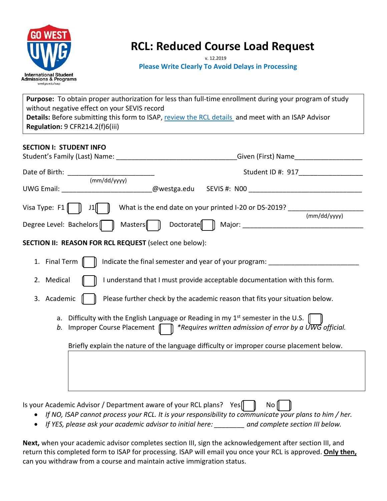

# **RCL: Reduced Course Load Request**

#### **Please Write Clearly To Avoid Delays in Processing**

**Purpose:** To obtain proper authorization for less than full-time enrollment during your program of study without negative effect on your SEVIS record Details: Before submitting this form to ISAP, [review the RCL details](https://www.westga.edu/academics/isap/maintaining-enrollment.php) and meet with an ISAP Advisor **Regulation:** 9 CFR214.2(f)6(iii)

#### **SECTION I: STUDENT INFO**

|                                                                                                     | Given (First) Name                                                                                                                                                                         |  |  |
|-----------------------------------------------------------------------------------------------------|--------------------------------------------------------------------------------------------------------------------------------------------------------------------------------------------|--|--|
| (mm/dd/yyyy)                                                                                        | Student ID #: 917                                                                                                                                                                          |  |  |
|                                                                                                     | @westga.edu                                                                                                                                                                                |  |  |
| Visa Type: $F1 \parallel \parallel J1 \parallel$                                                    | What is the end date on your printed I-20 or DS-2019?<br>(mm/dd/yyyy)                                                                                                                      |  |  |
| Degree Level: Bachelors<br>Masters $\ \ $<br>SECTION II: REASON FOR RCL REQUEST (select one below): |                                                                                                                                                                                            |  |  |
| 1. Final Term $\parallel$                                                                           | Indicate the final semester and year of your program: __________________________                                                                                                           |  |  |
| 2. Medical                                                                                          | I understand that I must provide acceptable documentation with this form.                                                                                                                  |  |  |
| 3. Academic                                                                                         | Please further check by the academic reason that fits your situation below.                                                                                                                |  |  |
| a.<br>b.                                                                                            | Difficulty with the English Language or Reading in my $1^{st}$ semester in the U.S. $\sqrt{ }$<br>Improper Course Placement $\Box$ *Requires written admission of error by a UWG official. |  |  |
|                                                                                                     | Briefly explain the nature of the language difficulty or improper course placement below.                                                                                                  |  |  |
|                                                                                                     |                                                                                                                                                                                            |  |  |
|                                                                                                     |                                                                                                                                                                                            |  |  |
|                                                                                                     |                                                                                                                                                                                            |  |  |

Is your Academic Advisor / Department aware of your RCL plans? Yes $\begin{bmatrix} \begin{bmatrix} \end{bmatrix} & \begin{bmatrix} \end{bmatrix} & \begin{bmatrix} \end{bmatrix} & \begin{bmatrix} \end{bmatrix} & \begin{bmatrix} \end{bmatrix} & \begin{bmatrix} \end{bmatrix} & \begin{bmatrix} \end{bmatrix} & \begin{bmatrix} \end{bmatrix} & \begin{bmatrix} \end{bmatrix} & \begin{bmatrix} \end{bmatrix} & \begin{bmatrix} \end{bmatrix} & \begin{bmatrix$ 

- *If NO, ISAP cannot process your RCL. It is your responsibility to communicate your plans to him / her.*
- *If YES, please ask your academic advisor to initial here: \_\_\_\_\_\_\_\_ and complete section III below.*

**Next,** when your academic advisor completes section III, sign the acknowledgement after section III, and return this completed form to ISAP for processing. ISAP will email you once your RCL is approved. **Only then,** can you withdraw from a course and maintain active immigration status.